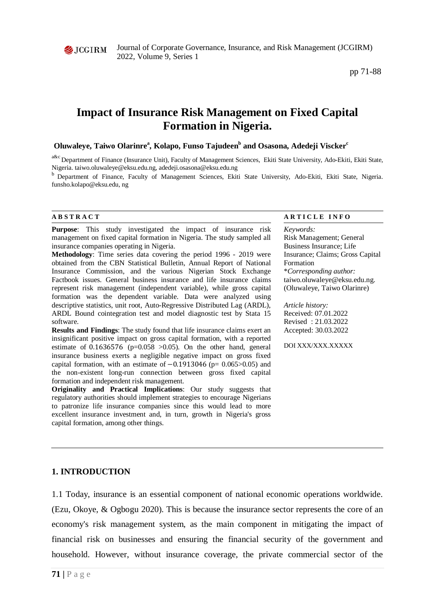

Journal of Corporate Governance, Insurance, and Risk Management (JCGIRM) 2022, Volume 9, Series 1

pp 71-88

# **Impact of Insurance Risk Management on Fixed Capital Formation in Nigeria.**

# Oluwaleye, Taiwo Olarinre<sup>a</sup>, Kolapo, Funso Tajudeen<sup>b</sup> and Osasona, Adedeji Viscker<sup>c</sup>

a&c Department of Finance (Insurance Unit), Faculty of Management Sciences, Ekiti State University, Ado-Ekiti, Ekiti State, Nigeria. [taiwo.oluwaleye@eksu.edu.ng,](mailto:taiwo.oluwaleye@eksu.edu.ng) [adedeji.osasona@eksu.edu.ng](mailto:adedeji.osasona@eksu.edu.ng)

<sup>b</sup> Department of Finance, Faculty of Management Sciences, Ekiti State University, Ado-Ekiti, Ekiti State, Nigeria. [funsho.kolapo@eksu.edu, ng](mailto:funsho.kolapo@eksu.edu,ng)

**Purpose**: This study investigated the impact of insurance risk management on fixed capital formation in Nigeria. The study sampled all insurance companies operating in Nigeria.

**Methodology**: Time series data covering the period 1996 - 2019 were obtained from the CBN Statistical Bulletin, Annual Report of National Insurance Commission, and the various Nigerian Stock Exchange Factbook issues. General business insurance and life insurance claims represent risk management (independent variable), while gross capital formation was the dependent variable. Data were analyzed using descriptive statistics, unit root, Auto-Regressive Distributed Lag (ARDL), ARDL Bound cointegration test and model diagnostic test by Stata 15 software.

**Results and Findings**: The study found that life insurance claims exert an insignificant positive impact on gross capital formation, with a reported estimate of  $0.1636576$  (p=0.058 >0.05). On the other hand, general insurance business exerts a negligible negative impact on gross fixed capital formation, with an estimate of  $-0.1913046$  (p= 0.065>0.05) and the non-existent long-run connection between gross fixed capital formation and independent risk management.

**Originality and Practical Implications:** Our study suggests that regulatory authorities should implement strategies to encourage Nigerians to patronize life insurance companies since this would lead to more excellent insurance investment and, in turn, growth in Nigeria's gross capital formation, among other things.

#### **A B S T R A C T A R T I C L E I N F O**

*Keywords:* Risk Management; General Business Insurance; Life Insurance; Claims; Gross Capital Formation \**Corresponding author:*  taiwo.oluwaleye@eksu.edu.ng. (Oluwaleye, Taiwo Olarinre)

*Article history:*  Received: 07.01.2022 Revised : 21.03.2022 Accepted: 30.03.2022

DOI XXX/XXX XXXXX

### **1. INTRODUCTION**

1.1 Today, insurance is an essential component of national economic operations worldwide. (Ezu, Okoye, & Ogbogu 2020). This is because the insurance sector represents the core of an economy's risk management system, as the main component in mitigating the impact of financial risk on businesses and ensuring the financial security of the government and household. However, without insurance coverage, the private commercial sector of the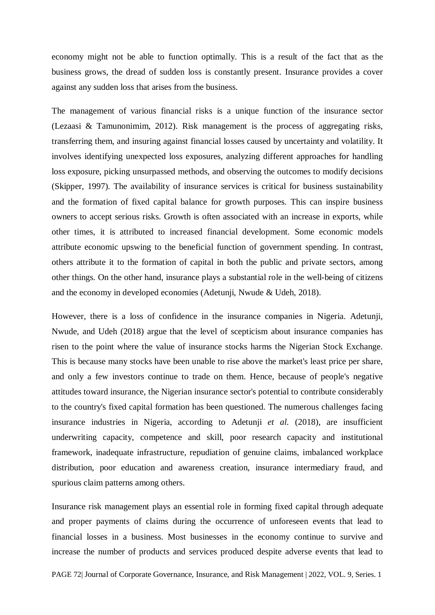economy might not be able to function optimally. This is a result of the fact that as the business grows, the dread of sudden loss is constantly present. Insurance provides a cover against any sudden loss that arises from the business.

The management of various financial risks is a unique function of the insurance sector (Lezaasi & Tamunonimim, 2012). Risk management is the process of aggregating risks, transferring them, and insuring against financial losses caused by uncertainty and volatility. It involves identifying unexpected loss exposures, analyzing different approaches for handling loss exposure, picking unsurpassed methods, and observing the outcomes to modify decisions (Skipper, 1997). The availability of insurance services is critical for business sustainability and the formation of fixed capital balance for growth purposes. This can inspire business owners to accept serious risks. Growth is often associated with an increase in exports, while other times, it is attributed to increased financial development. Some economic models attribute economic upswing to the beneficial function of government spending. In contrast, others attribute it to the formation of capital in both the public and private sectors, among other things. On the other hand, insurance plays a substantial role in the well-being of citizens and the economy in developed economies (Adetunji, Nwude & Udeh, 2018).

However, there is a loss of confidence in the insurance companies in Nigeria. Adetunji, Nwude, and Udeh (2018) argue that the level of scepticism about insurance companies has risen to the point where the value of insurance stocks harms the Nigerian Stock Exchange. This is because many stocks have been unable to rise above the market's least price per share, and only a few investors continue to trade on them. Hence, because of people's negative attitudes toward insurance, the Nigerian insurance sector's potential to contribute considerably to the country's fixed capital formation has been questioned. The numerous challenges facing insurance industries in Nigeria, according to Adetunji *et al.* (2018), are insufficient underwriting capacity, competence and skill, poor research capacity and institutional framework, inadequate infrastructure, repudiation of genuine claims, imbalanced workplace distribution, poor education and awareness creation, insurance intermediary fraud, and spurious claim patterns among others.

Insurance risk management plays an essential role in forming fixed capital through adequate and proper payments of claims during the occurrence of unforeseen events that lead to financial losses in a business. Most businesses in the economy continue to survive and increase the number of products and services produced despite adverse events that lead to

PAGE 72| Journal of Corporate Governance, Insurance, and Risk Management | 2022, VOL. 9, Series. 1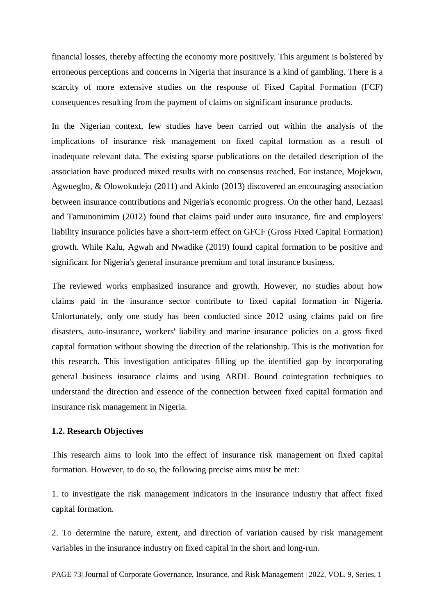financial losses, thereby affecting the economy more positively. This argument is bolstered by erroneous perceptions and concerns in Nigeria that insurance is a kind of gambling. There is a scarcity of more extensive studies on the response of Fixed Capital Formation (FCF) consequences resulting from the payment of claims on significant insurance products.

In the Nigerian context, few studies have been carried out within the analysis of the implications of insurance risk management on fixed capital formation as a result of inadequate relevant data. The existing sparse publications on the detailed description of the association have produced mixed results with no consensus reached. For instance, Mojekwu, Agwuegbo, & Olowokudejo (2011) and Akinlo (2013) discovered an encouraging association between insurance contributions and Nigeria's economic progress. On the other hand, Lezaasi and Tamunonimim (2012) found that claims paid under auto insurance, fire and employers' liability insurance policies have a short-term effect on GFCF (Gross Fixed Capital Formation) growth. While Kalu, Agwah and Nwadike (2019) found capital formation to be positive and significant for Nigeria's general insurance premium and total insurance business.

The reviewed works emphasized insurance and growth. However, no studies about how claims paid in the insurance sector contribute to fixed capital formation in Nigeria. Unfortunately, only one study has been conducted since 2012 using claims paid on fire disasters, auto-insurance, workers' liability and marine insurance policies on a gross fixed capital formation without showing the direction of the relationship. This is the motivation for this research. This investigation anticipates filling up the identified gap by incorporating general business insurance claims and using ARDL Bound cointegration techniques to understand the direction and essence of the connection between fixed capital formation and insurance risk management in Nigeria.

# **1.2. Research Objectives**

This research aims to look into the effect of insurance risk management on fixed capital formation. However, to do so, the following precise aims must be met:

1. to investigate the risk management indicators in the insurance industry that affect fixed capital formation.

2. To determine the nature, extent, and direction of variation caused by risk management variables in the insurance industry on fixed capital in the short and long-run.

PAGE 73| Journal of Corporate Governance, Insurance, and Risk Management | 2022, VOL. 9, Series. 1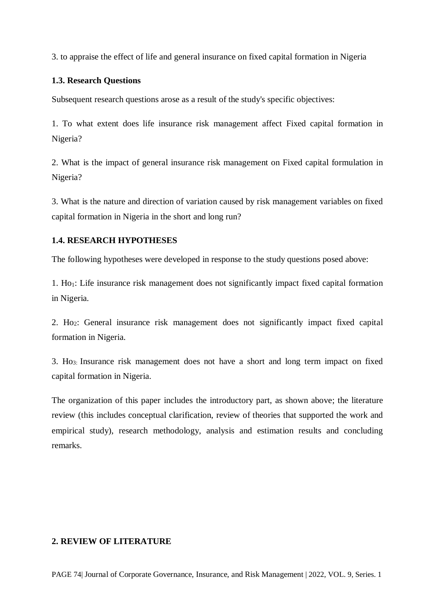3. to appraise the effect of life and general insurance on fixed capital formation in Nigeria

# **1.3. Research Questions**

Subsequent research questions arose as a result of the study's specific objectives:

1. To what extent does life insurance risk management affect Fixed capital formation in Nigeria?

2. What is the impact of general insurance risk management on Fixed capital formulation in Nigeria?

3. What is the nature and direction of variation caused by risk management variables on fixed capital formation in Nigeria in the short and long run?

# **1.4. RESEARCH HYPOTHESES**

The following hypotheses were developed in response to the study questions posed above:

1. Ho1: Life insurance risk management does not significantly impact fixed capital formation in Nigeria.

2. Ho2: General insurance risk management does not significantly impact fixed capital formation in Nigeria.

3. Ho3: Insurance risk management does not have a short and long term impact on fixed capital formation in Nigeria.

The organization of this paper includes the introductory part, as shown above; the literature review (this includes conceptual clarification, review of theories that supported the work and empirical study), research methodology, analysis and estimation results and concluding remarks.

# **2. REVIEW OF LITERATURE**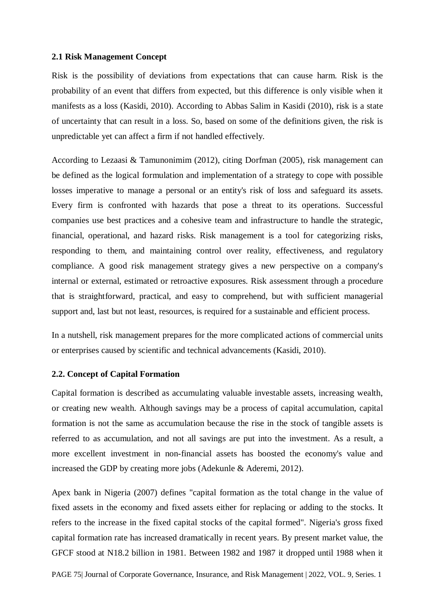### **2.1 Risk Management Concept**

Risk is the possibility of deviations from expectations that can cause harm. Risk is the probability of an event that differs from expected, but this difference is only visible when it manifests as a loss (Kasidi, 2010). According to Abbas Salim in Kasidi (2010), risk is a state of uncertainty that can result in a loss. So, based on some of the definitions given, the risk is unpredictable yet can affect a firm if not handled effectively.

According to Lezaasi & Tamunonimim (2012), citing Dorfman (2005), risk management can be defined as the logical formulation and implementation of a strategy to cope with possible losses imperative to manage a personal or an entity's risk of loss and safeguard its assets. Every firm is confronted with hazards that pose a threat to its operations. Successful companies use best practices and a cohesive team and infrastructure to handle the strategic, financial, operational, and hazard risks. Risk management is a tool for categorizing risks, responding to them, and maintaining control over reality, effectiveness, and regulatory compliance. A good risk management strategy gives a new perspective on a company's internal or external, estimated or retroactive exposures. Risk assessment through a procedure that is straightforward, practical, and easy to comprehend, but with sufficient managerial support and, last but not least, resources, is required for a sustainable and efficient process.

In a nutshell, risk management prepares for the more complicated actions of commercial units or enterprises caused by scientific and technical advancements (Kasidi, 2010).

### **2.2. Concept of Capital Formation**

Capital formation is described as accumulating valuable investable assets, increasing wealth, or creating new wealth. Although savings may be a process of capital accumulation, capital formation is not the same as accumulation because the rise in the stock of tangible assets is referred to as accumulation, and not all savings are put into the investment. As a result, a more excellent investment in non-financial assets has boosted the economy's value and increased the GDP by creating more jobs (Adekunle & Aderemi, 2012).

Apex bank in Nigeria (2007) defines "capital formation as the total change in the value of fixed assets in the economy and fixed assets either for replacing or adding to the stocks. It refers to the increase in the fixed capital stocks of the capital formed". Nigeria's gross fixed capital formation rate has increased dramatically in recent years. By present market value, the GFCF stood at N18.2 billion in 1981. Between 1982 and 1987 it dropped until 1988 when it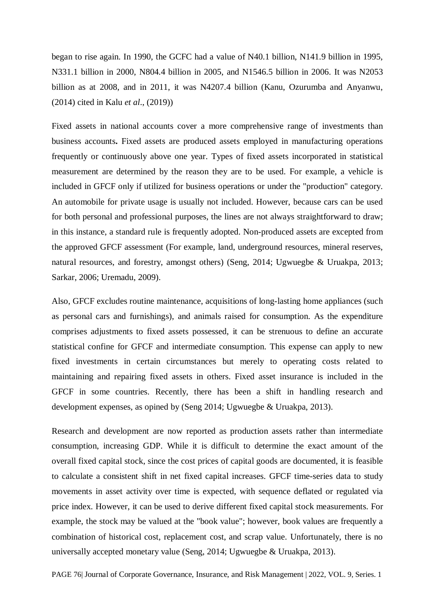began to rise again. In 1990, the GCFC had a value of N40.1 billion, N141.9 billion in 1995, N331.1 billion in 2000, N804.4 billion in 2005, and N1546.5 billion in 2006. It was N2053 billion as at 2008, and in 2011, it was N4207.4 billion (Kanu, Ozurumba and Anyanwu, (2014) cited in Kalu *et al*., (2019))

Fixed assets in national accounts cover a more comprehensive range of investments than business accounts**.** Fixed assets are produced assets employed in manufacturing operations frequently or continuously above one year. Types of fixed assets incorporated in statistical measurement are determined by the reason they are to be used. For example, a vehicle is included in GFCF only if utilized for business operations or under the "production" category. An automobile for private usage is usually not included. However, because cars can be used for both personal and professional purposes, the lines are not always straightforward to draw; in this instance, a standard rule is frequently adopted. Non-produced assets are excepted from the approved GFCF assessment (For example, land, underground resources, mineral reserves, natural resources, and forestry, amongst others) (Seng, 2014; Ugwuegbe & Uruakpa, 2013; Sarkar, 2006; Uremadu, 2009).

Also, GFCF excludes routine maintenance, acquisitions of long-lasting home appliances (such as personal cars and furnishings), and animals raised for consumption. As the expenditure comprises adjustments to fixed assets possessed, it can be strenuous to define an accurate statistical confine for GFCF and intermediate consumption. This expense can apply to new fixed investments in certain circumstances but merely to operating costs related to maintaining and repairing fixed assets in others. Fixed asset insurance is included in the GFCF in some countries. Recently, there has been a shift in handling research and development expenses, as opined by (Seng 2014; Ugwuegbe & Uruakpa, 2013).

Research and development are now reported as production assets rather than intermediate consumption, increasing GDP. While it is difficult to determine the exact amount of the overall fixed capital stock, since the cost prices of capital goods are documented, it is feasible to calculate a consistent shift in net fixed capital increases. GFCF time-series data to study movements in asset activity over time is expected, with sequence deflated or regulated via price index. However, it can be used to derive different fixed capital stock measurements. For example, the stock may be valued at the "book value"; however, book values are frequently a combination of historical cost, replacement cost, and scrap value. Unfortunately, there is no universally accepted monetary value (Seng, 2014; Ugwuegbe & Uruakpa, 2013).

PAGE 76| Journal of Corporate Governance, Insurance, and Risk Management | 2022, VOL. 9, Series. 1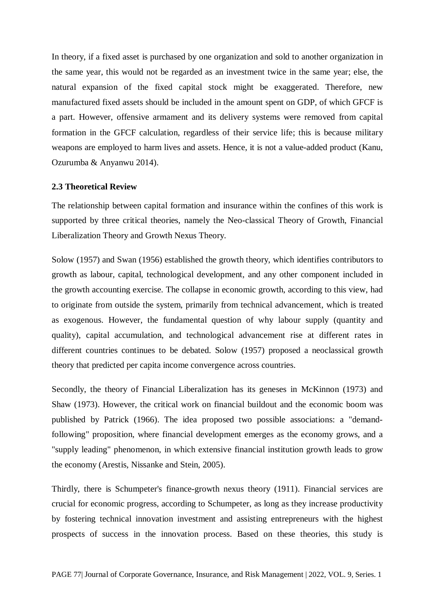In theory, if a fixed asset is purchased by one organization and sold to another organization in the same year, this would not be regarded as an investment twice in the same year; else, the natural expansion of the fixed capital stock might be exaggerated. Therefore, new manufactured fixed assets should be included in the amount spent on GDP, of which GFCF is a part. However, offensive armament and its delivery systems were removed from capital formation in the GFCF calculation, regardless of their service life; this is because military weapons are employed to harm lives and assets. Hence, it is not a value-added product (Kanu, Ozurumba & Anyanwu 2014).

#### **2.3 Theoretical Review**

The relationship between capital formation and insurance within the confines of this work is supported by three critical theories, namely the Neo-classical Theory of Growth, Financial Liberalization Theory and Growth Nexus Theory.

Solow (1957) and Swan (1956) established the growth theory, which identifies contributors to growth as labour, capital, technological development, and any other component included in the growth accounting exercise. The collapse in economic growth, according to this view, had to originate from outside the system, primarily from technical advancement, which is treated as exogenous. However, the fundamental question of why labour supply (quantity and quality), capital accumulation, and technological advancement rise at different rates in different countries continues to be debated. Solow (1957) proposed a neoclassical growth theory that predicted per capita income convergence across countries.

Secondly, the theory of Financial Liberalization has its geneses in McKinnon (1973) and Shaw (1973). However, the critical work on financial buildout and the economic boom was published by Patrick (1966). The idea proposed two possible associations: a "demandfollowing" proposition, where financial development emerges as the economy grows, and a "supply leading" phenomenon, in which extensive financial institution growth leads to grow the economy (Arestis, Nissanke and Stein, 2005).

Thirdly, there is Schumpeter's finance-growth nexus theory (1911). Financial services are crucial for economic progress, according to Schumpeter, as long as they increase productivity by fostering technical innovation investment and assisting entrepreneurs with the highest prospects of success in the innovation process. Based on these theories, this study is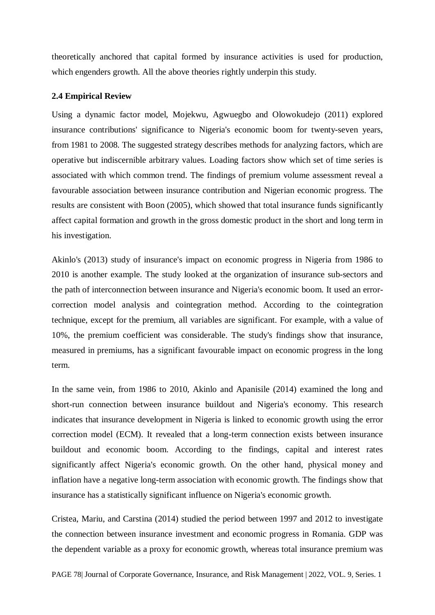theoretically anchored that capital formed by insurance activities is used for production, which engenders growth. All the above theories rightly underpin this study.

# **2.4 Empirical Review**

Using a dynamic factor model, Mojekwu, Agwuegbo and Olowokudejo (2011) explored insurance contributions' significance to Nigeria's economic boom for twenty-seven years, from 1981 to 2008. The suggested strategy describes methods for analyzing factors, which are operative but indiscernible arbitrary values. Loading factors show which set of time series is associated with which common trend. The findings of premium volume assessment reveal a favourable association between insurance contribution and Nigerian economic progress. The results are consistent with Boon (2005), which showed that total insurance funds significantly affect capital formation and growth in the gross domestic product in the short and long term in his investigation.

Akinlo's (2013) study of insurance's impact on economic progress in Nigeria from 1986 to 2010 is another example. The study looked at the organization of insurance sub-sectors and the path of interconnection between insurance and Nigeria's economic boom. It used an errorcorrection model analysis and cointegration method. According to the cointegration technique, except for the premium, all variables are significant. For example, with a value of 10%, the premium coefficient was considerable. The study's findings show that insurance, measured in premiums, has a significant favourable impact on economic progress in the long term.

In the same vein, from 1986 to 2010, Akinlo and Apanisile (2014) examined the long and short-run connection between insurance buildout and Nigeria's economy. This research indicates that insurance development in Nigeria is linked to economic growth using the error correction model (ECM). It revealed that a long-term connection exists between insurance buildout and economic boom. According to the findings, capital and interest rates significantly affect Nigeria's economic growth. On the other hand, physical money and inflation have a negative long-term association with economic growth. The findings show that insurance has a statistically significant influence on Nigeria's economic growth.

Cristea, Mariu, and Carstina (2014) studied the period between 1997 and 2012 to investigate the connection between insurance investment and economic progress in Romania. GDP was the dependent variable as a proxy for economic growth, whereas total insurance premium was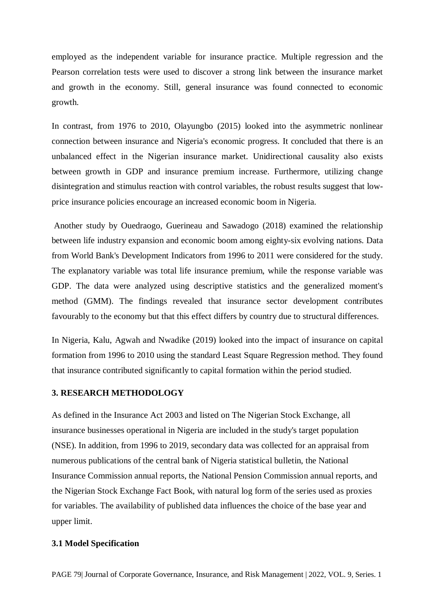employed as the independent variable for insurance practice. Multiple regression and the Pearson correlation tests were used to discover a strong link between the insurance market and growth in the economy. Still, general insurance was found connected to economic growth.

In contrast, from 1976 to 2010, Olayungbo (2015) looked into the asymmetric nonlinear connection between insurance and Nigeria's economic progress. It concluded that there is an unbalanced effect in the Nigerian insurance market. Unidirectional causality also exists between growth in GDP and insurance premium increase. Furthermore, utilizing change disintegration and stimulus reaction with control variables, the robust results suggest that lowprice insurance policies encourage an increased economic boom in Nigeria.

Another study by Ouedraogo, Guerineau and Sawadogo (2018) examined the relationship between life industry expansion and economic boom among eighty-six evolving nations. Data from World Bank's Development Indicators from 1996 to 2011 were considered for the study. The explanatory variable was total life insurance premium, while the response variable was GDP. The data were analyzed using descriptive statistics and the generalized moment's method (GMM). The findings revealed that insurance sector development contributes favourably to the economy but that this effect differs by country due to structural differences.

In Nigeria, Kalu, Agwah and Nwadike (2019) looked into the impact of insurance on capital formation from 1996 to 2010 using the standard Least Square Regression method. They found that insurance contributed significantly to capital formation within the period studied.

# **3. RESEARCH METHODOLOGY**

As defined in the Insurance Act 2003 and listed on The Nigerian Stock Exchange, all insurance businesses operational in Nigeria are included in the study's target population (NSE). In addition, from 1996 to 2019, secondary data was collected for an appraisal from numerous publications of the central bank of Nigeria statistical bulletin, the National Insurance Commission annual reports, the National Pension Commission annual reports, and the Nigerian Stock Exchange Fact Book, with natural log form of the series used as proxies for variables. The availability of published data influences the choice of the base year and upper limit.

# **3.1 Model Specification**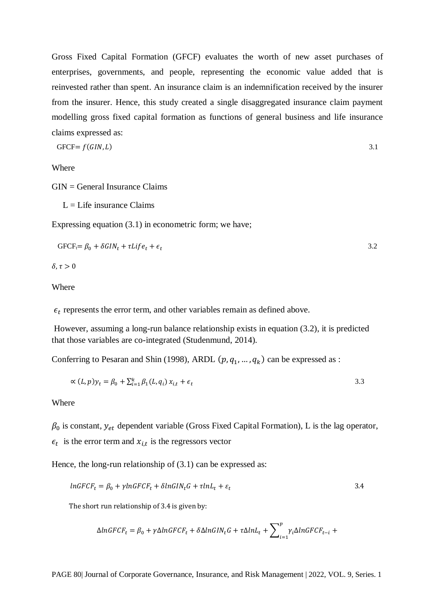Gross Fixed Capital Formation (GFCF) evaluates the worth of new asset purchases of enterprises, governments, and people, representing the economic value added that is reinvested rather than spent. An insurance claim is an indemnification received by the insurer from the insurer. Hence, this study created a single disaggregated insurance claim payment modelling gross fixed capital formation as functions of general business and life insurance claims expressed as:

$$
GFCF = f(GIN, L) \tag{3.1}
$$

Where

GIN = General Insurance Claims

 $L = L$  ife insurance Claims

Expressing equation (3.1) in econometric form; we have;

$$
GFCF_t = \beta_0 + \delta GIN_t + \tau Life_t + \epsilon_t \tag{3.2}
$$

 $\delta, \tau > 0$ 

Where

 $\epsilon_t$  represents the error term, and other variables remain as defined above.

However, assuming a long-run balance relationship exists in equation (3.2), it is predicted that those variables are co-integrated (Studenmund, 2014).

Conferring to Pesaran and Shin (1998), ARDL  $(p, q_1, ..., q_k)$  can be expressed as :

$$
\propto (L, p) y_t = \beta_0 + \sum_{i=1}^k \beta_1 (L, q_i) x_{i,t} + \epsilon_t
$$

Where

 $\beta_0$  is constant,  $y_{et}$  dependent variable (Gross Fixed Capital Formation), L is the lag operator,  $\epsilon_t$  is the error term and  $x_{i,t}$  is the regressors vector

Hence, the long-run relationship of  $(3.1)$  can be expressed as:

$$
lnGFCF_t = \beta_0 + \gamma lnGFCF_t + \delta lnGIN_tG + \tau lnL_t + \varepsilon_t
$$

The short run relationship of 3.4 is given by:

$$
\Delta ln GFCF_t = \beta_0 + \gamma \Delta ln GFCF_t + \delta \Delta ln GIN_t G + \tau \Delta ln L_t + \sum_{i=1}^{p} \gamma_i \Delta ln GFCF_{t-i} +
$$

PAGE 80| Journal of Corporate Governance, Insurance, and Risk Management | 2022, VOL. 9, Series. 1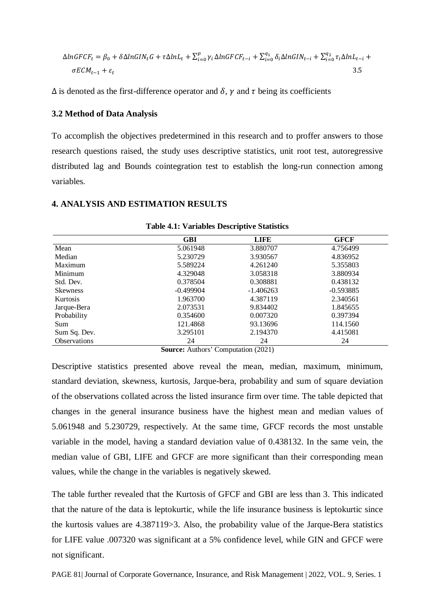$$
\Delta ln GFCF_t = \beta_0 + \delta \Delta ln GIN_t G + \tau \Delta ln L_t + \sum_{i=0}^p \gamma_i \Delta ln GFCF_{t-i} + \sum_{i=0}^{q_1} \delta_i \Delta ln GIN_{t-i} + \sum_{i=0}^{q_2} \tau_i \Delta ln L_{t-i} + \sigma ECM_{t-1} + \varepsilon_t
$$
\n
$$
3.5
$$

 $\Delta$  is denoted as the first-difference operator and  $\delta$ ,  $\gamma$  and  $\tau$  being its coefficients

### **3.2 Method of Data Analysis**

To accomplish the objectives predetermined in this research and to proffer answers to those research questions raised, the study uses descriptive statistics, unit root test, autoregressive distributed lag and Bounds cointegration test to establish the long-run connection among variables.

# **4. ANALYSIS AND ESTIMATION RESULTS**

|                     | <b>GBI</b>  | <b>LIFE</b> | <b>GFCF</b> |  |
|---------------------|-------------|-------------|-------------|--|
| Mean                | 5.061948    | 3.880707    | 4.756499    |  |
| Median              | 5.230729    | 3.930567    | 4.836952    |  |
| Maximum             | 5.589224    | 4.261240    | 5.355803    |  |
| Minimum             | 4.329048    | 3.058318    | 3.880934    |  |
| Std. Dev.           | 0.378504    | 0.308881    | 0.438132    |  |
| <b>Skewness</b>     | $-0.499904$ | $-1.406263$ | $-0.593885$ |  |
| Kurtosis            | 1.963700    | 4.387119    | 2.340561    |  |
| Jarque-Bera         | 2.073531    | 9.834402    | 1.845655    |  |
| Probability         | 0.354600    | 0.007320    | 0.397394    |  |
| Sum                 | 121.4868    | 93.13696    | 114.1560    |  |
| Sum Sq. Dev.        | 3.295101    | 2.194370    | 4.415081    |  |
| <b>Observations</b> | 24          | 24          | 24          |  |

**Table 4.1: Variables Descriptive Statistics**

**Source:** Authors' Computation (2021)

Descriptive statistics presented above reveal the mean, median, maximum, minimum, standard deviation, skewness, kurtosis, Jarque-bera, probability and sum of square deviation of the observations collated across the listed insurance firm over time. The table depicted that changes in the general insurance business have the highest mean and median values of 5.061948 and 5.230729, respectively. At the same time, GFCF records the most unstable variable in the model, having a standard deviation value of 0.438132. In the same vein, the median value of GBI, LIFE and GFCF are more significant than their corresponding mean values, while the change in the variables is negatively skewed.

The table further revealed that the Kurtosis of GFCF and GBI are less than 3. This indicated that the nature of the data is leptokurtic, while the life insurance business is leptokurtic since the kurtosis values are 4.387119>3. Also, the probability value of the Jarque-Bera statistics for LIFE value .007320 was significant at a 5% confidence level, while GIN and GFCF were not significant.

PAGE 81| Journal of Corporate Governance, Insurance, and Risk Management | 2022, VOL. 9, Series. 1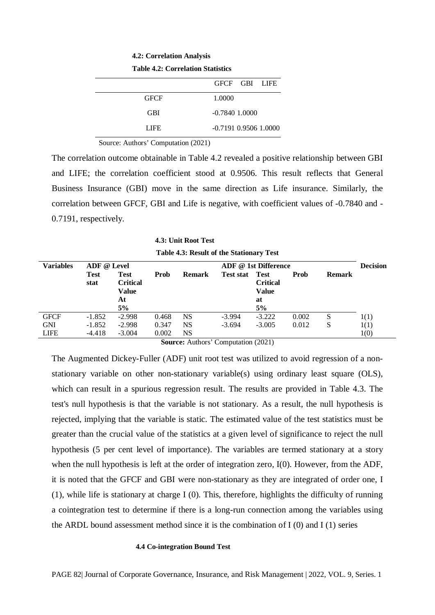**4.2: Correlation Analysis**

|  | <b>Table 4.2: Correlation Statistics</b> |
|--|------------------------------------------|
|--|------------------------------------------|

|             | GECE GBI LIFE           |
|-------------|-------------------------|
| <b>GFCF</b> | 1.0000                  |
| <b>GBI</b>  | $-0.7840$ 1.0000        |
| LIFE.       | $-0.7191$ 0.9506 1.0000 |
|             |                         |

Source: Authors' Computation (2021)

The correlation outcome obtainable in Table 4.2 revealed a positive relationship between GBI and LIFE; the correlation coefficient stood at 0.9506. This result reflects that General Business Insurance (GBI) move in the same direction as Life insurance. Similarly, the correlation between GFCF, GBI and Life is negative, with coefficient values of -0.7840 and - 0.7191, respectively.

**4.3: Unit Root Test Table 4.3: Result of the Stationary Test**

| <b>Variables</b> | ADF @ Level         |                                                            |       |               |                  | ADF @ 1st Difference                                       |       |               | <b>Decision</b> |
|------------------|---------------------|------------------------------------------------------------|-------|---------------|------------------|------------------------------------------------------------|-------|---------------|-----------------|
|                  | <b>Test</b><br>stat | <b>Test</b><br><b>Critical</b><br><b>Value</b><br>At<br>5% | Prob  | <b>Remark</b> | <b>Test stat</b> | <b>Test</b><br><b>Critical</b><br><b>Value</b><br>at<br>5% | Prob  | <b>Remark</b> |                 |
| <b>GFCF</b>      | $-1.852$            | $-2.998$                                                   | 0.468 | NS            | $-3.994$         | $-3.222$                                                   | 0.002 | S             | 1(1)            |
| <b>GNI</b>       | $-1.852$            | $-2.998$                                                   | 0.347 | NS            | $-3.694$         | $-3.005$                                                   | 0.012 | S             | 1(1)            |
| <b>LIFE</b>      | $-4.418$            | $-3.004$                                                   | 0.002 | NS            |                  |                                                            |       |               | 1(0)            |

**Source:** Authors' Computation (2021)

The Augmented Dickey-Fuller (ADF) unit root test was utilized to avoid regression of a nonstationary variable on other non-stationary variable(s) using ordinary least square (OLS), which can result in a spurious regression result. The results are provided in Table 4.3. The test's null hypothesis is that the variable is not stationary. As a result, the null hypothesis is rejected, implying that the variable is static. The estimated value of the test statistics must be greater than the crucial value of the statistics at a given level of significance to reject the null hypothesis (5 per cent level of importance). The variables are termed stationary at a story when the null hypothesis is left at the order of integration zero, I(0). However, from the ADF, it is noted that the GFCF and GBI were non-stationary as they are integrated of order one, I (1), while life is stationary at charge I (0). This, therefore, highlights the difficulty of running a cointegration test to determine if there is a long-run connection among the variables using the ARDL bound assessment method since it is the combination of  $I(0)$  and  $I(1)$  series

#### **4.4 Co-integration Bound Test**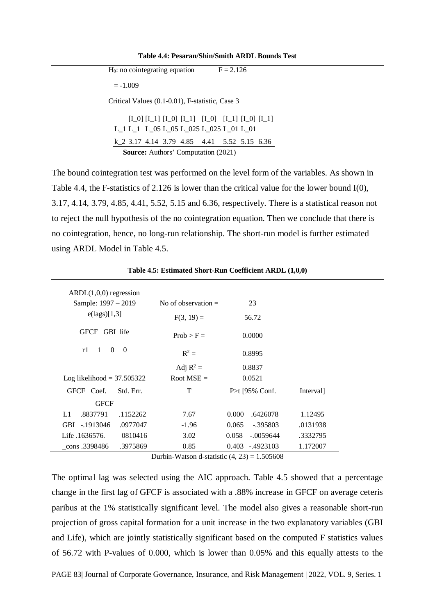**Table 4.4: Pesaran/Shin/Smith ARDL Bounds Test**

| $H0$ : no cointegrating equation                |                                                         |  | $F = 2.126$ |  |
|-------------------------------------------------|---------------------------------------------------------|--|-------------|--|
| $=-1.009$                                       |                                                         |  |             |  |
| Critical Values (0.1-0.01), F-statistic, Case 3 |                                                         |  |             |  |
| $L_1 L_1 L_05 L_05 L_025 L_025 L_01 L_01$       | $[I_0] [I_1] [I_0] [I_1] [I_0] [I_1] [I_1] [I_0] [I_1]$ |  |             |  |
| k 2 3.17 4.14 3.79 4.85 4.41 5.52 5.15 6.36     |                                                         |  |             |  |
|                                                 | <b>Source:</b> Authors' Computation (2021)              |  |             |  |

The bound cointegration test was performed on the level form of the variables. As shown in Table 4.4, the F-statistics of 2.126 is lower than the critical value for the lower bound I(0), 3.17, 4.14, 3.79, 4.85, 4.41, 5.52, 5.15 and 6.36, respectively. There is a statistical reason not to reject the null hypothesis of the no cointegration equation. Then we conclude that there is no cointegration, hence, no long-run relationship. The short-run model is further estimated using ARDL Model in Table 4.5.

| $ARDL(1,0,0)$ regression                         |                       |                      |           |
|--------------------------------------------------|-----------------------|----------------------|-----------|
| Sample: 1997 – 2019                              | No of observation $=$ | 23                   |           |
| $e(\text{lags})[1,3]$                            | $F(3, 19) =$          | 56.72                |           |
| <b>GFCF</b><br>GBI life                          | $Prob > F =$          | 0.0000               |           |
| $\theta$<br>$\overline{0}$<br>r1<br>$\mathbf{1}$ | $R^2 =$               | 0.8995               |           |
|                                                  | Adj $R^2$ =           | 0.8837               |           |
| Log likelihood = $37.505322$                     | Root MSE $=$          | 0.0521               |           |
| GFCF Coef.<br>Std. Err.                          | T                     | P>t [95% Conf.       | Interval] |
| <b>GFCF</b>                                      |                       |                      |           |
| .8837791<br>.1152262<br>L1                       | 7.67                  | 0.000<br>.6426078    | 1.12495   |
| GBI -.1913046<br>.0977047                        | $-1.96$               | 0.065<br>$-.395803$  | .0131938  |
| 0810416<br>Life .1636576.                        | 3.02                  | 0.058<br>$-.0059644$ | .3332795  |
| .3975869<br>cons .3398486                        | 0.85                  | -.4923103<br>0.403   | 1.172007  |

**Table 4.5: Estimated Short-Run Coefficient ARDL (1,0,0)**

Durbin-Watson d-statistic  $(4, 23) = 1.505608$ 

The optimal lag was selected using the AIC approach. Table 4.5 showed that a percentage change in the first lag of GFCF is associated with a .88% increase in GFCF on average ceteris paribus at the 1% statistically significant level. The model also gives a reasonable short-run projection of gross capital formation for a unit increase in the two explanatory variables (GBI and Life), which are jointly statistically significant based on the computed F statistics values of 56.72 with P-values of 0.000, which is lower than 0.05% and this equally attests to the

PAGE 83| Journal of Corporate Governance, Insurance, and Risk Management | 2022, VOL. 9, Series. 1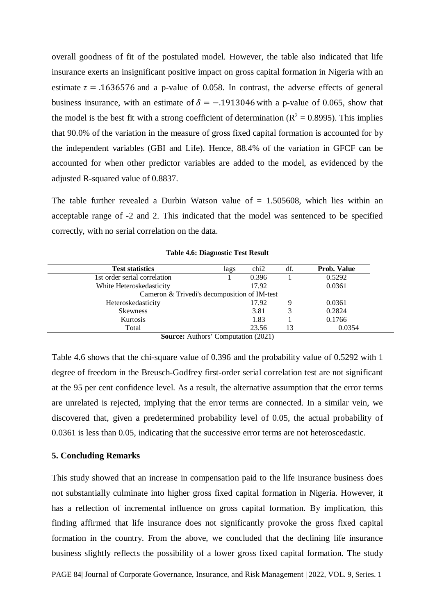overall goodness of fit of the postulated model. However, the table also indicated that life insurance exerts an insignificant positive impact on gross capital formation in Nigeria with an estimate  $\tau = .1636576$  and a p-value of 0.058. In contrast, the adverse effects of general business insurance, with an estimate of  $\delta = -0.1913046$  with a p-value of 0.065, show that the model is the best fit with a strong coefficient of determination ( $R^2 = 0.8995$ ). This implies that 90.0% of the variation in the measure of gross fixed capital formation is accounted for by the independent variables (GBI and Life). Hence, 88.4% of the variation in GFCF can be accounted for when other predictor variables are added to the model, as evidenced by the adjusted R-squared value of 0.8837.

The table further revealed a Durbin Watson value of  $= 1.505608$ , which lies within an acceptable range of -2 and 2. This indicated that the model was sentenced to be specified correctly, with no serial correlation on the data.

| <b>Test statistics</b>                       | lags | chi2  | df. | Prob. Value |
|----------------------------------------------|------|-------|-----|-------------|
| 1st order serial correlation                 |      | 0.396 |     | 0.5292      |
| White Heteroskedasticity                     |      | 17.92 |     | 0.0361      |
| Cameron & Trivedi's decomposition of IM-test |      |       |     |             |
| Heteroskedasticity                           |      | 17.92 |     | 0.0361      |
| <b>Skewness</b>                              |      | 3.81  |     | 0.2824      |
| Kurtosis                                     |      | 1.83  |     | 0.1766      |
| Total                                        |      | 23.56 | 13  | 0.0354      |

**Table 4.6: Diagnostic Test Result**

**Source:** Authors' Computation (2021)

Table 4.6 shows that the chi-square value of 0.396 and the probability value of 0.5292 with 1 degree of freedom in the Breusch-Godfrey first-order serial correlation test are not significant at the 95 per cent confidence level. As a result, the alternative assumption that the error terms are unrelated is rejected, implying that the error terms are connected. In a similar vein, we discovered that, given a predetermined probability level of 0.05, the actual probability of 0.0361 is less than 0.05, indicating that the successive error terms are not heteroscedastic.

### **5. Concluding Remarks**

This study showed that an increase in compensation paid to the life insurance business does not substantially culminate into higher gross fixed capital formation in Nigeria. However, it has a reflection of incremental influence on gross capital formation. By implication, this finding affirmed that life insurance does not significantly provoke the gross fixed capital formation in the country. From the above, we concluded that the declining life insurance business slightly reflects the possibility of a lower gross fixed capital formation. The study

PAGE 84| Journal of Corporate Governance, Insurance, and Risk Management | 2022, VOL. 9, Series. 1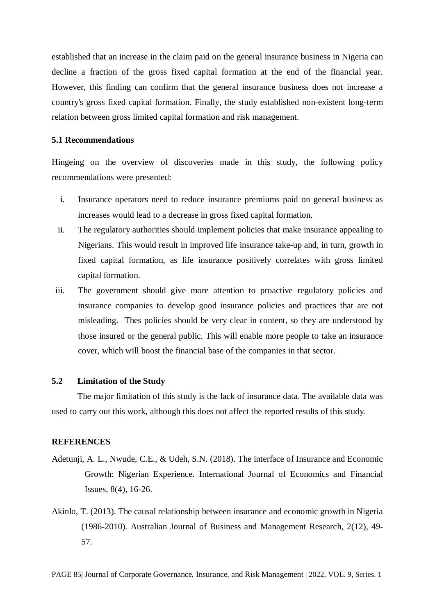established that an increase in the claim paid on the general insurance business in Nigeria can decline a fraction of the gross fixed capital formation at the end of the financial year. However, this finding can confirm that the general insurance business does not increase a country's gross fixed capital formation. Finally, the study established non-existent long-term relation between gross limited capital formation and risk management.

# **5.1 Recommendations**

Hingeing on the overview of discoveries made in this study, the following policy recommendations were presented:

- i. Insurance operators need to reduce insurance premiums paid on general business as increases would lead to a decrease in gross fixed capital formation.
- ii. The regulatory authorities should implement policies that make insurance appealing to Nigerians. This would result in improved life insurance take-up and, in turn, growth in fixed capital formation, as life insurance positively correlates with gross limited capital formation.
- iii. The government should give more attention to proactive regulatory policies and insurance companies to develop good insurance policies and practices that are not misleading. Thes policies should be very clear in content, so they are understood by those insured or the general public. This will enable more people to take an insurance cover, which will boost the financial base of the companies in that sector.

# **5.2 Limitation of the Study**

The major limitation of this study is the lack of insurance data. The available data was used to carry out this work, although this does not affect the reported results of this study.

#### **REFERENCES**

- Adetunji, A. L., Nwude, C.E., & Udeh, S.N. (2018). The interface of Insurance and Economic Growth: Nigerian Experience. International Journal of Economics and Financial Issues, 8(4), 16-26.
- Akinlo, T. (2013). The causal relationship between insurance and economic growth in Nigeria (1986-2010). Australian Journal of Business and Management Research, 2(12), 49- 57.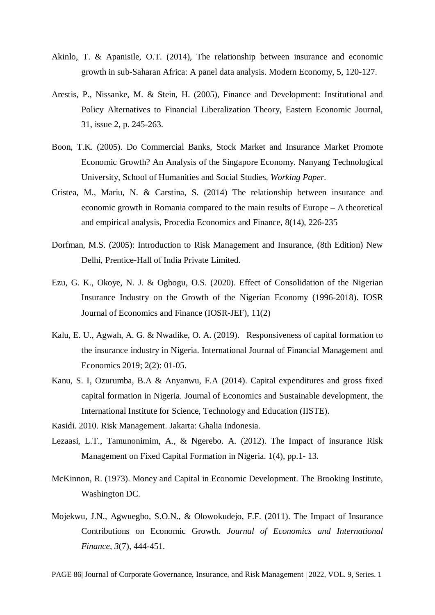- Akinlo, T. & Apanisile, O.T. (2014), The relationship between insurance and economic growth in sub-Saharan Africa: A panel data analysis. Modern Economy, 5, 120-127.
- Arestis, P., Nissanke, M. & Stein, H. (2005), Finance and Development: Institutional and Policy Alternatives to Financial Liberalization Theory, Eastern Economic Journal, 31, issue 2, p. 245-263.
- Boon, T.K. (2005). Do Commercial Banks, Stock Market and Insurance Market Promote Economic Growth? An Analysis of the Singapore Economy. Nanyang Technological University, School of Humanities and Social Studies, *Working Paper*.
- Cristea, M., Mariu, N. & Carstina, S. (2014) The relationship between insurance and economic growth in Romania compared to the main results of Europe – A theoretical and empirical analysis, Procedia Economics and Finance, 8(14), 226-235
- Dorfman, M.S. (2005): Introduction to Risk Management and Insurance, (8th Edition) New Delhi, Prentice-Hall of India Private Limited.
- Ezu, G. K., Okoye, N. J. & Ogbogu, O.S. (2020). Effect of Consolidation of the Nigerian Insurance Industry on the Growth of the Nigerian Economy (1996-2018). IOSR Journal of Economics and Finance (IOSR-JEF), 11(2)
- Kalu, E. U., Agwah, A. G. & Nwadike, O. A. (2019). Responsiveness of capital formation to the insurance industry in Nigeria. International Journal of Financial Management and Economics 2019; 2(2): 01-05.
- Kanu, S. I, Ozurumba, B.A & Anyanwu, F.A (2014). Capital expenditures and gross fixed capital formation in Nigeria. Journal of Economics and Sustainable development, the International Institute for Science, Technology and Education (IISTE).
- Kasidi. 2010. Risk Management. Jakarta: Ghalia Indonesia.
- Lezaasi, L.T., Tamunonimim, A., & Ngerebo. A. (2012). The Impact of insurance Risk Management on Fixed Capital Formation in Nigeria. 1(4), pp.1- 13.
- McKinnon, R. (1973). Money and Capital in Economic Development. The Brooking Institute, Washington DC.
- Mojekwu, J.N., Agwuegbo, S.O.N., & Olowokudejo, F.F. (2011). The Impact of Insurance Contributions on Economic Growth. *Journal of Economics and International Finance, 3*(7), 444-451.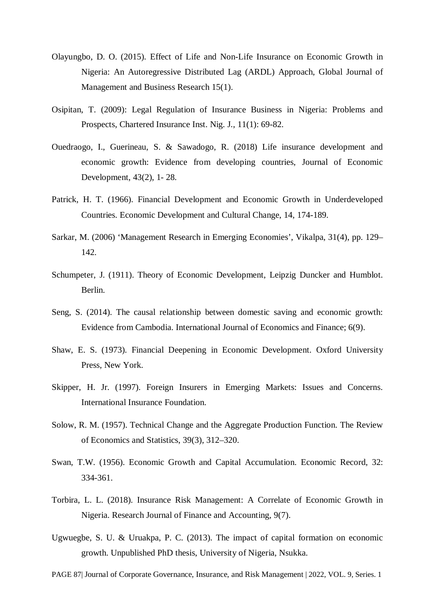- Olayungbo, D. O. (2015). Effect of Life and Non-Life Insurance on Economic Growth in Nigeria: An Autoregressive Distributed Lag (ARDL) Approach, Global Journal of Management and Business Research 15(1).
- Osipitan, T. (2009): Legal Regulation of Insurance Business in Nigeria: Problems and Prospects, Chartered Insurance Inst. Nig. J., 11(1): 69-82.
- Ouedraogo, I., Guerineau, S. & Sawadogo, R. (2018) Life insurance development and economic growth: Evidence from developing countries, Journal of Economic Development, 43(2), 1- 28.
- Patrick, H. T. (1966). Financial Development and Economic Growth in Underdeveloped Countries. Economic Development and Cultural Change, 14, 174-189.
- Sarkar, M. (2006) 'Management Research in Emerging Economies', Vikalpa, 31(4), pp. 129– 142.
- Schumpeter, J. (1911). Theory of Economic Development, Leipzig Duncker and Humblot. Berlin.
- Seng, S. (2014). The causal relationship between domestic saving and economic growth: Evidence from Cambodia. International Journal of Economics and Finance; 6(9).
- Shaw, E. S. (1973). Financial Deepening in Economic Development. Oxford University Press, New York.
- Skipper, H. Jr. (1997). Foreign Insurers in Emerging Markets: Issues and Concerns. International Insurance Foundation.
- Solow, R. M. (1957). Technical Change and the Aggregate Production Function. The Review of Economics and Statistics, 39(3), 312–320.
- Swan, T.W. (1956). Economic Growth and Capital Accumulation. Economic Record, 32: 334-361.
- Torbira, L. L. (2018). Insurance Risk Management: A Correlate of Economic Growth in Nigeria. Research Journal of Finance and Accounting, 9(7).
- Ugwuegbe, S. U. & Uruakpa, P. C. (2013). The impact of capital formation on economic growth. Unpublished PhD thesis, University of Nigeria, Nsukka.

PAGE 87| Journal of Corporate Governance, Insurance, and Risk Management | 2022, VOL. 9, Series. 1